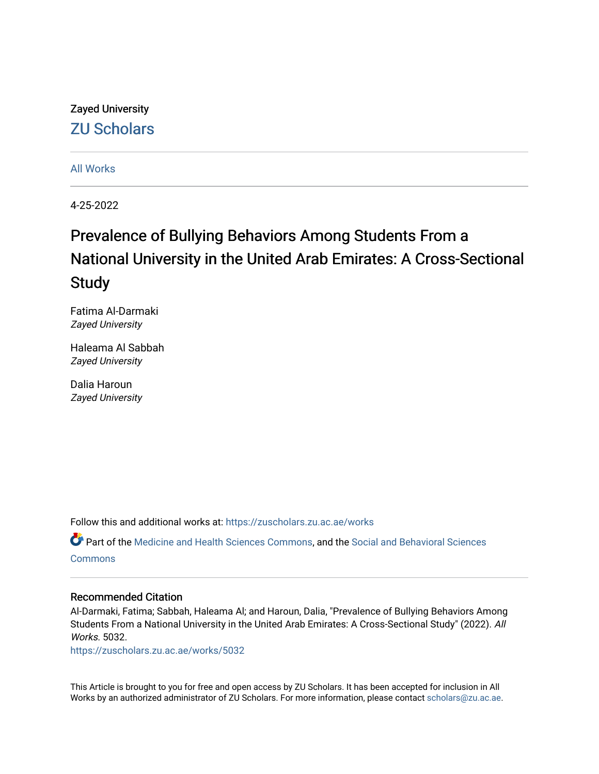# Zayed University [ZU Scholars](https://zuscholars.zu.ac.ae/)

#### [All Works](https://zuscholars.zu.ac.ae/works)

4-25-2022

# Prevalence of Bullying Behaviors Among Students From a National University in the United Arab Emirates: A Cross-Sectional Study

Fatima Al-Darmaki Zayed University

Haleama Al Sabbah Zayed University

Dalia Haroun Zayed University

Follow this and additional works at: [https://zuscholars.zu.ac.ae/works](https://zuscholars.zu.ac.ae/works?utm_source=zuscholars.zu.ac.ae%2Fworks%2F5032&utm_medium=PDF&utm_campaign=PDFCoverPages)

Part of the [Medicine and Health Sciences Commons,](https://network.bepress.com/hgg/discipline/648?utm_source=zuscholars.zu.ac.ae%2Fworks%2F5032&utm_medium=PDF&utm_campaign=PDFCoverPages) and the [Social and Behavioral Sciences](https://network.bepress.com/hgg/discipline/316?utm_source=zuscholars.zu.ac.ae%2Fworks%2F5032&utm_medium=PDF&utm_campaign=PDFCoverPages) **[Commons](https://network.bepress.com/hgg/discipline/316?utm_source=zuscholars.zu.ac.ae%2Fworks%2F5032&utm_medium=PDF&utm_campaign=PDFCoverPages)** 

#### Recommended Citation

Al-Darmaki, Fatima; Sabbah, Haleama Al; and Haroun, Dalia, "Prevalence of Bullying Behaviors Among Students From a National University in the United Arab Emirates: A Cross-Sectional Study" (2022). All Works. 5032.

[https://zuscholars.zu.ac.ae/works/5032](https://zuscholars.zu.ac.ae/works/5032?utm_source=zuscholars.zu.ac.ae%2Fworks%2F5032&utm_medium=PDF&utm_campaign=PDFCoverPages)

This Article is brought to you for free and open access by ZU Scholars. It has been accepted for inclusion in All Works by an authorized administrator of ZU Scholars. For more information, please contact [scholars@zu.ac.ae](mailto:scholars@zu.ac.ae).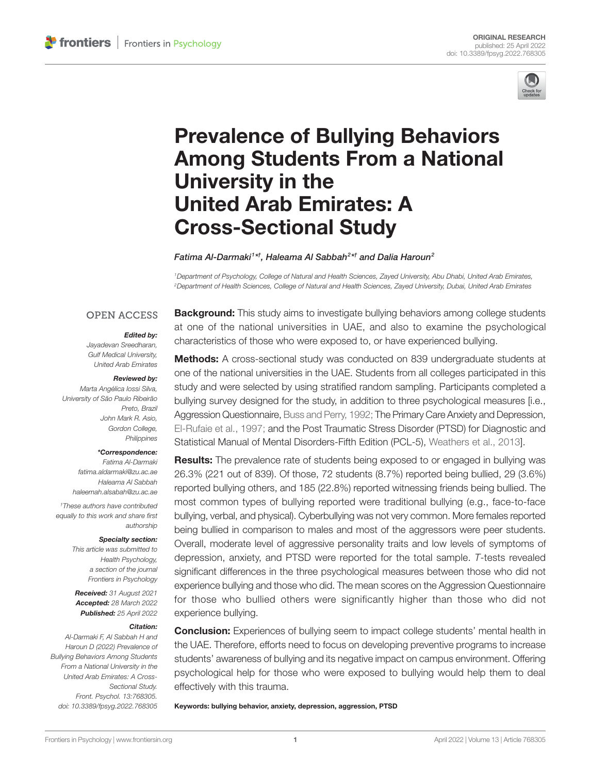

# [Prevalence of Bullying Behaviors](https://www.frontiersin.org/articles/10.3389/fpsyg.2022.768305/full)  [Among Students From a National](https://www.frontiersin.org/articles/10.3389/fpsyg.2022.768305/full)  [University in the](https://www.frontiersin.org/articles/10.3389/fpsyg.2022.768305/full)  [United Arab Emirates: A](https://www.frontiersin.org/articles/10.3389/fpsyg.2022.768305/full)  [Cross-Sectional Study](https://www.frontiersin.org/articles/10.3389/fpsyg.2022.768305/full)

#### *Fatima Al-Darmaki1 \*† , Haleama Al Sabbah2 \*† and Dalia Haroun2*

*1Department of Psychology, College of Natural and Health Sciences, Zayed University, Abu Dhabi, United Arab Emirates, 2Department of Health Sciences, College of Natural and Health Sciences, Zayed University, Dubai, United Arab Emirates*

#### **OPEN ACCESS**

#### *Edited by:*

*Jayadevan Sreedharan, Gulf Medical University, United Arab Emirates*

#### *Reviewed by:*

*Marta Angélica Iossi Silva, University of São Paulo Ribeirão Preto, Brazil John Mark R. Asio, Gordon College, Philippines*

#### *\*Correspondence:*

*Fatima Al-Darmaki [fatima.aldarmaki@zu.ac.ae](mailto:fatima.aldarmaki@zu.ac.ae) Haleama Al Sabbah [haleemah.alsabah@zu.ac.ae](mailto:haleemah.alsabah@zu.ac.ae)*

*† These authors have contributed equally to this work and share first authorship*

#### *Specialty section:*

*This article was submitted to Health Psychology, a section of the journal Frontiers in Psychology*

*Received: 31 August 2021 Accepted: 28 March 2022 Published: 25 April 2022*

#### *Citation:*

*Al-Darmaki F, Al Sabbah H and Haroun D (2022) Prevalence of Bullying Behaviors Among Students From a National University in the United Arab Emirates: A Cross-Sectional Study. Front. Psychol. 13:768305. [doi: 10.3389/fpsyg.2022.768305](https://doi.org/10.3389/fpsyg.2022.768305)* **Background:** This study aims to investigate bullying behaviors among college students at one of the national universities in UAE, and also to examine the psychological characteristics of those who were exposed to, or have experienced bullying.

Methods: A cross-sectional study was conducted on 839 undergraduate students at one of the national universities in the UAE. Students from all colleges participated in this study and were selected by using stratified random sampling. Participants completed a bullying survey designed for the study, in addition to three psychological measures [i.e., Aggression Questionnaire, [Buss and Perry, 1992](#page-11-0); The Primary Care Anxiety and Depression, [El-Rufaie et al., 1997;](#page-11-1) and the Post Traumatic Stress Disorder (PTSD) for Diagnostic and Statistical Manual of Mental Disorders-Fifth Edition (PCL-5), [Weathers et al., 2013](#page-12-0)].

Results: The prevalence rate of students being exposed to or engaged in bullying was 26.3% (221 out of 839). Of those, 72 students (8.7%) reported being bullied, 29 (3.6%) reported bullying others, and 185 (22.8%) reported witnessing friends being bullied. The most common types of bullying reported were traditional bullying (e.g., face-to-face bullying, verbal, and physical). Cyberbullying was not very common. More females reported being bullied in comparison to males and most of the aggressors were peer students. Overall, moderate level of aggressive personality traits and low levels of symptoms of depression, anxiety, and PTSD were reported for the total sample. *T*-tests revealed significant differences in the three psychological measures between those who did not experience bullying and those who did. The mean scores on the Aggression Questionnaire for those who bullied others were significantly higher than those who did not experience bullying.

**Conclusion:** Experiences of bullying seem to impact college students' mental health in the UAE. Therefore, efforts need to focus on developing preventive programs to increase students' awareness of bullying and its negative impact on campus environment. Offering psychological help for those who were exposed to bullying would help them to deal effectively with this trauma.

Keywords: bullying behavior, anxiety, depression, aggression, PTSD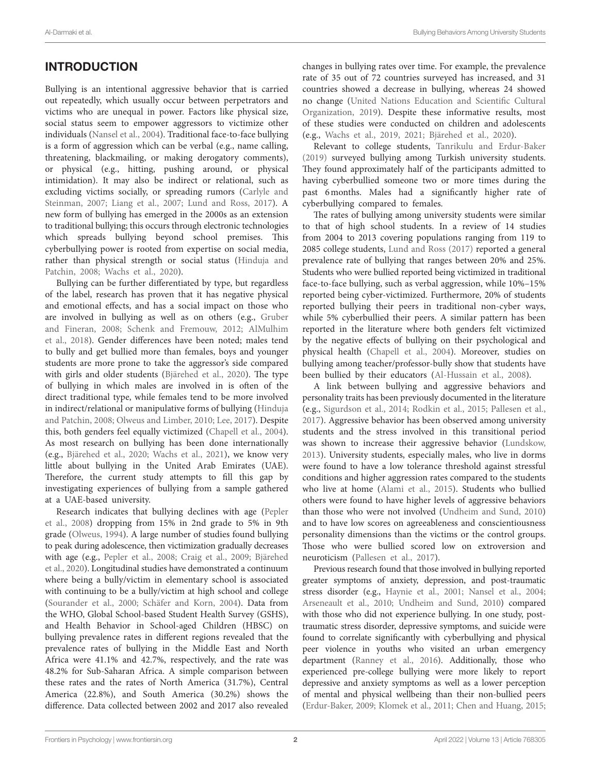# INTRODUCTION

Bullying is an intentional aggressive behavior that is carried out repeatedly, which usually occur between perpetrators and victims who are unequal in power. Factors like physical size, social status seem to empower aggressors to victimize other individuals ([Nansel et al., 2004](#page-12-1)). Traditional face-to-face bullying is a form of aggression which can be verbal (e.g., name calling, threatening, blackmailing, or making derogatory comments), or physical (e.g., hitting, pushing around, or physical intimidation). It may also be indirect or relational, such as excluding victims socially, or spreading rumors [\(Carlyle and](#page-11-2)  [Steinman, 2007](#page-11-2); [Liang et al., 2007;](#page-11-3) [Lund and Ross, 2017](#page-11-4)). A new form of bullying has emerged in the 2000s as an extension to traditional bullying; this occurs through electronic technologies which spreads bullying beyond school premises. This cyberbullying power is rooted from expertise on social media, rather than physical strength or social status ([Hinduja and](#page-11-5)  [Patchin, 2008;](#page-11-5) [Wachs et al., 2020](#page-12-2)).

Bullying can be further differentiated by type, but regardless of the label, research has proven that it has negative physical and emotional effects, and has a social impact on those who are involved in bullying as well as on others (e.g., [Gruber](#page-11-6)  [and Fineran, 2008;](#page-11-6) [Schenk and Fremouw, 2012;](#page-12-3) [AlMulhim](#page-11-7)  [et al., 2018](#page-11-7)). Gender differences have been noted; males tend to bully and get bullied more than females, boys and younger students are more prone to take the aggressor's side compared with girls and older students [\(Bjärehed et al., 2020](#page-11-8)). The type of bullying in which males are involved in is often of the direct traditional type, while females tend to be more involved in indirect/relational or manipulative forms of bullying [\(Hinduja](#page-11-5)  [and Patchin, 2008](#page-11-5); [Olweus and Limber, 2010](#page-12-4); [Lee, 2017](#page-11-9)). Despite this, both genders feel equally victimized ([Chapell et al., 2004](#page-11-10)). As most research on bullying has been done internationally (e.g., [Bjärehed et al., 2020](#page-11-8); [Wachs et al., 2021\)](#page-12-5), we know very little about bullying in the United Arab Emirates (UAE). Therefore, the current study attempts to fill this gap by investigating experiences of bullying from a sample gathered at a UAE-based university.

Research indicates that bullying declines with age ([Pepler](#page-12-6)  [et al., 2008](#page-12-6)) dropping from 15% in 2nd grade to 5% in 9th grade ([Olweus, 1994\)](#page-12-7). A large number of studies found bullying to peak during adolescence, then victimization gradually decreases with age (e.g., [Pepler et al., 2008](#page-12-6); [Craig et al., 2009;](#page-11-11) [Bjärehed](#page-11-8)  [et al., 2020\)](#page-11-8). Longitudinal studies have demonstrated a continuum where being a bully/victim in elementary school is associated with continuing to be a bully/victim at high school and college ([Sourander et al., 2000;](#page-12-8) [Schäfer and Korn, 2004](#page-12-9)). Data from the WHO, Global School-based Student Health Survey (GSHS), and Health Behavior in School-aged Children (HBSC) on bullying prevalence rates in different regions revealed that the prevalence rates of bullying in the Middle East and North Africa were 41.1% and 42.7%, respectively, and the rate was 48.2% for Sub-Saharan Africa. A simple comparison between these rates and the rates of North America (31.7%), Central America (22.8%), and South America (30.2%) shows the difference. Data collected between 2002 and 2017 also revealed changes in bullying rates over time. For example, the prevalence rate of 35 out of 72 countries surveyed has increased, and 31 countries showed a decrease in bullying, whereas 24 showed no change [\(United Nations Education and Scientific Cultural](#page-12-10)  [Organization, 2019](#page-12-10)). Despite these informative results, most of these studies were conducted on children and adolescents (e.g., [Wachs et al., 2019](#page-12-11), [2021;](#page-12-5) [Bjärehed et al., 2020\)](#page-11-8).

Relevant to college students, [Tanrikulu and Erdur-Baker](#page-12-12)  [\(2019\)](#page-12-12) surveyed bullying among Turkish university students. They found approximately half of the participants admitted to having cyberbullied someone two or more times during the past 6months. Males had a significantly higher rate of cyberbullying compared to females.

The rates of bullying among university students were similar to that of high school students. In a review of 14 studies from 2004 to 2013 covering populations ranging from 119 to 2085 college students, [Lund and Ross \(2017\)](#page-11-4) reported a general prevalence rate of bullying that ranges between 20% and 25%. Students who were bullied reported being victimized in traditional face-to-face bullying, such as verbal aggression, while 10%–15% reported being cyber-victimized. Furthermore, 20% of students reported bullying their peers in traditional non-cyber ways, while 5% cyberbullied their peers. A similar pattern has been reported in the literature where both genders felt victimized by the negative effects of bullying on their psychological and physical health ([Chapell et al., 2004\)](#page-11-10). Moreover, studies on bullying among teacher/professor-bully show that students have been bullied by their educators ([Al-Hussain et al., 2008\)](#page-10-0).

A link between bullying and aggressive behaviors and personality traits has been previously documented in the literature (e.g., [Sigurdson et al., 2014](#page-12-13); [Rodkin et al., 2015](#page-12-14); [Pallesen et al.,](#page-12-15)  [2017\)](#page-12-15). Aggressive behavior has been observed among university students and the stress involved in this transitional period was shown to increase their aggressive behavior [\(Lundskow,](#page-11-12)  [2013\)](#page-11-12). University students, especially males, who live in dorms were found to have a low tolerance threshold against stressful conditions and higher aggression rates compared to the students who live at home [\(Alami et al., 2015](#page-10-1)). Students who bullied others were found to have higher levels of aggressive behaviors than those who were not involved ([Undheim and Sund, 2010\)](#page-12-16) and to have low scores on agreeableness and conscientiousness personality dimensions than the victims or the control groups. Those who were bullied scored low on extroversion and neuroticism [\(Pallesen et al., 2017](#page-12-15)).

Previous research found that those involved in bullying reported greater symptoms of anxiety, depression, and post-traumatic stress disorder (e.g., [Haynie et al., 2001](#page-11-13); [Nansel et al., 2004;](#page-12-1) [Arseneault et al., 2010;](#page-11-14) [Undheim and Sund, 2010\)](#page-12-16) compared with those who did not experience bullying. In one study, posttraumatic stress disorder, depressive symptoms, and suicide were found to correlate significantly with cyberbullying and physical peer violence in youths who visited an urban emergency department [\(Ranney et al., 2016](#page-12-17)). Additionally, those who experienced pre-college bullying were more likely to report depressive and anxiety symptoms as well as a lower perception of mental and physical wellbeing than their non-bullied peers [\(Erdur-Baker, 2009;](#page-11-15) [Klomek et al., 2011;](#page-11-16) [Chen and Huang, 2015;](#page-11-17)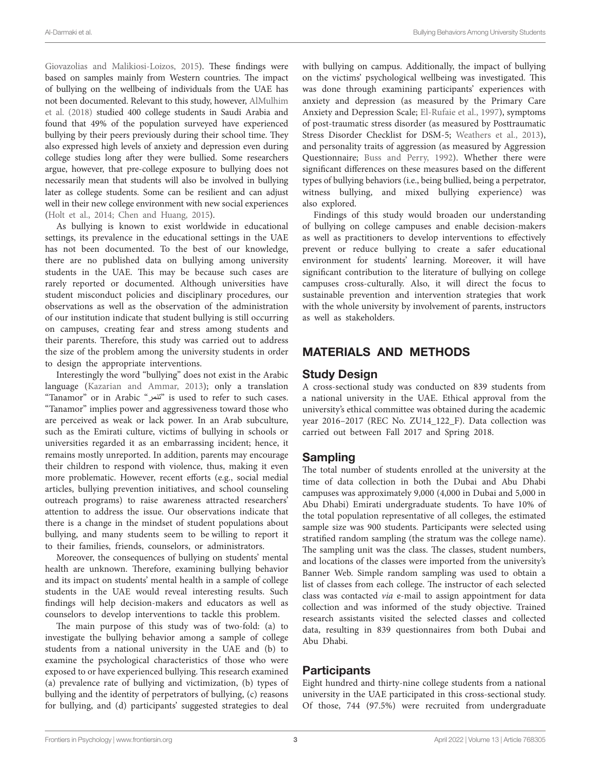[Giovazolias and Malikiosi-Loizos, 2015](#page-11-18)). These findings were based on samples mainly from Western countries. The impact of bullying on the wellbeing of individuals from the UAE has not been documented. Relevant to this study, however, [AlMulhim](#page-11-7)  [et al. \(2018\)](#page-11-7) studied 400 college students in Saudi Arabia and found that 49% of the population surveyed have experienced bullying by their peers previously during their school time. They also expressed high levels of anxiety and depression even during college studies long after they were bullied. Some researchers argue, however, that pre-college exposure to bullying does not necessarily mean that students will also be involved in bullying later as college students. Some can be resilient and can adjust well in their new college environment with new social experiences ([Holt et al., 2014;](#page-11-19) [Chen and Huang, 2015](#page-11-17)).

As bullying is known to exist worldwide in educational settings, its prevalence in the educational settings in the UAE has not been documented. To the best of our knowledge, there are no published data on bullying among university students in the UAE. This may be because such cases are rarely reported or documented. Although universities have student misconduct policies and disciplinary procedures, our observations as well as the observation of the administration of our institution indicate that student bullying is still occurring on campuses, creating fear and stress among students and their parents. Therefore, this study was carried out to address the size of the problem among the university students in order to design the appropriate interventions.

Interestingly the word "bullying" does not exist in the Arabic language ([Kazarian and Ammar, 2013\)](#page-11-20); only a translation "Tanamor" or in Arabic "تنمر "is used to refer to such cases. "Tanamor" implies power and aggressiveness toward those who are perceived as weak or lack power. In an Arab subculture, such as the Emirati culture, victims of bullying in schools or universities regarded it as an embarrassing incident; hence, it remains mostly unreported. In addition, parents may encourage their children to respond with violence, thus, making it even more problematic. However, recent efforts (e.g., social medial articles, bullying prevention initiatives, and school counseling outreach programs) to raise awareness attracted researchers' attention to address the issue. Our observations indicate that there is a change in the mindset of student populations about bullying, and many students seem to be willing to report it to their families, friends, counselors, or administrators.

Moreover, the consequences of bullying on students' mental health are unknown. Therefore, examining bullying behavior and its impact on students' mental health in a sample of college students in the UAE would reveal interesting results. Such findings will help decision-makers and educators as well as counselors to develop interventions to tackle this problem.

The main purpose of this study was of two-fold: (a) to investigate the bullying behavior among a sample of college students from a national university in the UAE and (b) to examine the psychological characteristics of those who were exposed to or have experienced bullying. This research examined (a) prevalence rate of bullying and victimization, (b) types of bullying and the identity of perpetrators of bullying, (c) reasons for bullying, and (d) participants' suggested strategies to deal with bullying on campus. Additionally, the impact of bullying on the victims' psychological wellbeing was investigated. This was done through examining participants' experiences with anxiety and depression (as measured by the Primary Care Anxiety and Depression Scale; [El-Rufaie et al., 1997\)](#page-11-1), symptoms of post-traumatic stress disorder (as measured by Posttraumatic Stress Disorder Checklist for DSM-5; [Weathers et al., 2013](#page-12-0)), and personality traits of aggression (as measured by Aggression Questionnaire; [Buss and Perry, 1992](#page-11-0)). Whether there were significant differences on these measures based on the different types of bullying behaviors (i.e., being bullied, being a perpetrator, witness bullying, and mixed bullying experience) was also explored.

Findings of this study would broaden our understanding of bullying on college campuses and enable decision-makers as well as practitioners to develop interventions to effectively prevent or reduce bullying to create a safer educational environment for students' learning. Moreover, it will have significant contribution to the literature of bullying on college campuses cross-culturally. Also, it will direct the focus to sustainable prevention and intervention strategies that work with the whole university by involvement of parents, instructors as well as stakeholders.

# MATERIALS AND METHODS

#### Study Design

A cross-sectional study was conducted on 839 students from a national university in the UAE. Ethical approval from the university's ethical committee was obtained during the academic year 2016–2017 (REC No. ZU14\_122\_F). Data collection was carried out between Fall 2017 and Spring 2018.

# Sampling

The total number of students enrolled at the university at the time of data collection in both the Dubai and Abu Dhabi campuses was approximately 9,000 (4,000 in Dubai and 5,000 in Abu Dhabi) Emirati undergraduate students. To have 10% of the total population representative of all colleges, the estimated sample size was 900 students. Participants were selected using stratified random sampling (the stratum was the college name). The sampling unit was the class. The classes, student numbers, and locations of the classes were imported from the university's Banner Web. Simple random sampling was used to obtain a list of classes from each college. The instructor of each selected class was contacted *via* e-mail to assign appointment for data collection and was informed of the study objective. Trained research assistants visited the selected classes and collected data, resulting in 839 questionnaires from both Dubai and Abu Dhabi.

# Participants

Eight hundred and thirty-nine college students from a national university in the UAE participated in this cross-sectional study. Of those, 744 (97.5%) were recruited from undergraduate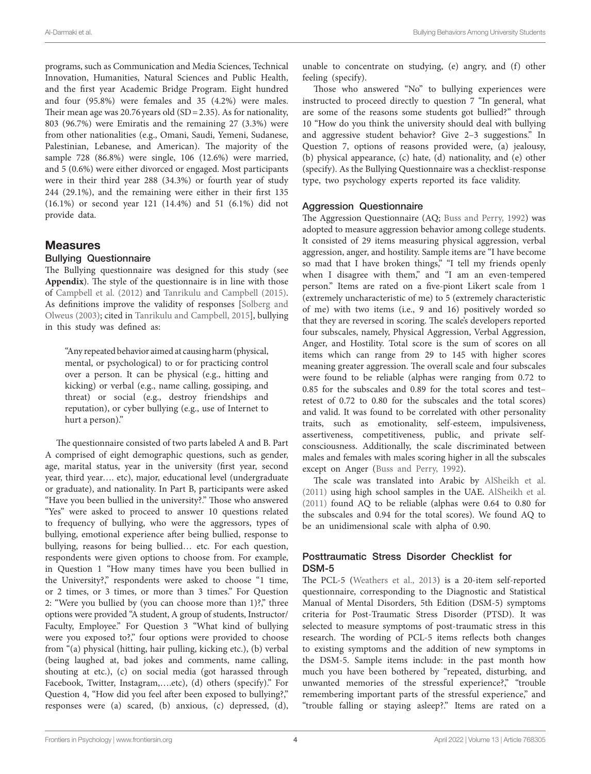programs, such as Communication and Media Sciences, Technical Innovation, Humanities, Natural Sciences and Public Health, and the first year Academic Bridge Program. Eight hundred and four (95.8%) were females and 35 (4.2%) were males. Their mean age was  $20.76$  years old (SD = 2.35). As for nationality, 803 (96.7%) were Emiratis and the remaining 27 (3.3%) were from other nationalities (e.g., Omani, Saudi, Yemeni, Sudanese, Palestinian, Lebanese, and American). The majority of the sample 728 (86.8%) were single, 106 (12.6%) were married, and 5 (0.6%) were either divorced or engaged. Most participants were in their third year 288 (34.3%) or fourth year of study 244 (29.1%), and the remaining were either in their first 135 (16.1%) or second year 121 (14.4%) and 51 (6.1%) did not provide data.

### Measures

#### Bullying Questionnaire

The Bullying questionnaire was designed for this study (see **[Appendix](#page-10-2)**). The style of the questionnaire is in line with those of [Campbell et al. \(2012\)](#page-11-21) and [Tanrikulu and Campbell \(2015\)](#page-12-18). As definitions improve the validity of responses [[Solberg and](#page-12-19)  [Olweus \(2003\);](#page-12-19) cited in [Tanrikulu and Campbell, 2015\]](#page-12-18), bullying in this study was defined as:

"Any repeated behavior aimed at causing harm (physical, mental, or psychological) to or for practicing control over a person. It can be physical (e.g., hitting and kicking) or verbal (e.g., name calling, gossiping, and threat) or social (e.g., destroy friendships and reputation), or cyber bullying (e.g., use of Internet to hurt a person)."

The questionnaire consisted of two parts labeled A and B. Part A comprised of eight demographic questions, such as gender, age, marital status, year in the university (first year, second year, third year…. etc), major, educational level (undergraduate or graduate), and nationality. In Part B, participants were asked "Have you been bullied in the university?." Those who answered "Yes" were asked to proceed to answer 10 questions related to frequency of bullying, who were the aggressors, types of bullying, emotional experience after being bullied, response to bullying, reasons for being bullied… etc. For each question, respondents were given options to choose from. For example, in Question 1 "How many times have you been bullied in the University?," respondents were asked to choose "1 time, or 2 times, or 3 times, or more than 3 times." For Question 2: "Were you bullied by (you can choose more than 1)?," three options were provided "A student, A group of students, Instructor/ Faculty, Employee." For Question 3 "What kind of bullying were you exposed to?," four options were provided to choose from "(a) physical (hitting, hair pulling, kicking etc.), (b) verbal (being laughed at, bad jokes and comments, name calling, shouting at etc.), (c) on social media (got harassed through Facebook, Twitter, Instagram,….etc), (d) others (specify)." For Question 4, "How did you feel after been exposed to bullying?," responses were (a) scared, (b) anxious, (c) depressed, (d),

unable to concentrate on studying, (e) angry, and (f) other feeling (specify).

Those who answered "No" to bullying experiences were instructed to proceed directly to question 7 "In general, what are some of the reasons some students got bullied?" through 10 "How do you think the university should deal with bullying and aggressive student behavior? Give 2–3 suggestions." In Question 7, options of reasons provided were, (a) jealousy, (b) physical appearance, (c) hate, (d) nationality, and (e) other (specify). As the Bullying Questionnaire was a checklist-response type, two psychology experts reported its face validity.

#### Aggression Questionnaire

The Aggression Questionnaire (AQ; [Buss and Perry, 1992](#page-11-0)) was adopted to measure aggression behavior among college students. It consisted of 29 items measuring physical aggression, verbal aggression, anger, and hostility. Sample items are "I have become so mad that I have broken things," "I tell my friends openly when I disagree with them," and "I am an even-tempered person." Items are rated on a five-piont Likert scale from 1 (extremely uncharacteristic of me) to 5 (extremely characteristic of me) with two items (i.e., 9 and 16) positively worded so that they are reversed in scoring. The scale's developers reported four subscales, namely, Physical Aggression, Verbal Aggression, Anger, and Hostility. Total score is the sum of scores on all items which can range from 29 to 145 with higher scores meaning greater aggression. The overall scale and four subscales were found to be reliable (alphas were ranging from 0.72 to 0.85 for the subscales and 0.89 for the total scores and test– retest of 0.72 to 0.80 for the subscales and the total scores) and valid. It was found to be correlated with other personality traits, such as emotionality, self-esteem, impulsiveness, assertiveness, competitiveness, public, and private selfconsciousness. Additionally, the scale discriminated between males and females with males scoring higher in all the subscales except on Anger ([Buss and Perry, 1992\)](#page-11-0).

The scale was translated into Arabic by [AlSheikh et al.](#page-11-22)  [\(2011\)](#page-11-22) using high school samples in the UAE. [AlSheikh et al.](#page-11-22)  [\(2011\)](#page-11-22) found AQ to be reliable (alphas were 0.64 to 0.80 for the subscales and 0.94 for the total scores). We found AQ to be an unidimensional scale with alpha of 0.90.

#### Posttraumatic Stress Disorder Checklist for DSM-5

The PCL-5 ([Weathers et al., 2013](#page-12-0)) is a 20-item self-reported questionnaire, corresponding to the Diagnostic and Statistical Manual of Mental Disorders, 5th Edition (DSM-5) symptoms criteria for Post-Traumatic Stress Disorder (PTSD). It was selected to measure symptoms of post-traumatic stress in this research. The wording of PCL-5 items reflects both changes to existing symptoms and the addition of new symptoms in the DSM-5. Sample items include: in the past month how much you have been bothered by "repeated, disturbing, and unwanted memories of the stressful experience?," "trouble remembering important parts of the stressful experience," and "trouble falling or staying asleep?." Items are rated on a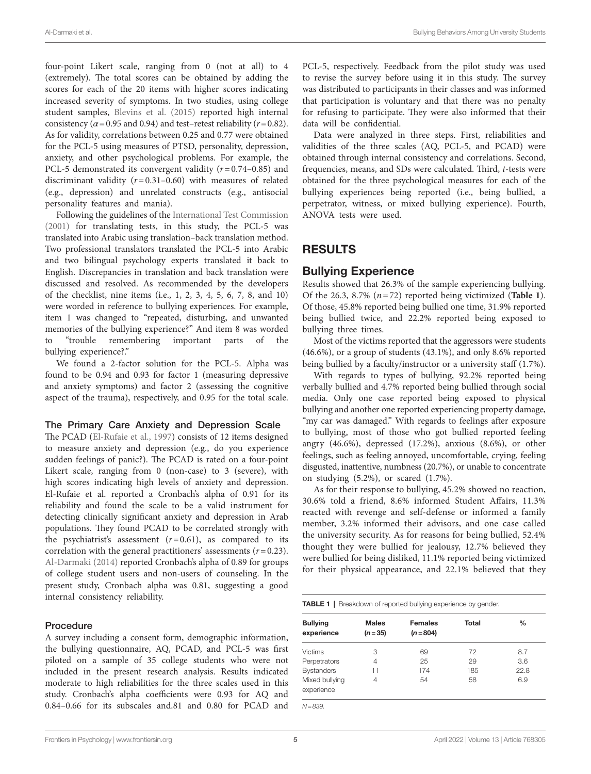four-point Likert scale, ranging from 0 (not at all) to 4 (extremely). The total scores can be obtained by adding the scores for each of the 20 items with higher scores indicating increased severity of symptoms. In two studies, using college student samples, [Blevins et al. \(2015\)](#page-11-23) reported high internal consistency ( $\alpha$  = 0.95 and 0.94) and test–retest reliability ( $r$  = 0.82). As for validity, correlations between 0.25 and 0.77 were obtained for the PCL-5 using measures of PTSD, personality, depression, anxiety, and other psychological problems. For example, the PCL-5 demonstrated its convergent validity (*r*=0.74–0.85) and discriminant validity (*r*=0.31–0.60) with measures of related (e.g., depression) and unrelated constructs (e.g., antisocial personality features and mania).

Following the guidelines of the [International Test Commission](#page-11-24)  [\(2001\)](#page-11-24) for translating tests, in this study, the PCL-5 was translated into Arabic using translation–back translation method. Two professional translators translated the PCL-5 into Arabic and two bilingual psychology experts translated it back to English. Discrepancies in translation and back translation were discussed and resolved. As recommended by the developers of the checklist, nine items (i.e., 1, 2, 3, 4, 5, 6, 7, 8, and 10) were worded in reference to bullying experiences. For example, item 1 was changed to "repeated, disturbing, and unwanted memories of the bullying experience?" And item 8 was worded to "trouble remembering important parts of the bullying experience?."

We found a 2-factor solution for the PCL-5. Alpha was found to be 0.94 and 0.93 for factor 1 (measuring depressive and anxiety symptoms) and factor 2 (assessing the cognitive aspect of the trauma), respectively, and 0.95 for the total scale.

#### The Primary Care Anxiety and Depression Scale

The PCAD [\(El-Rufaie et al., 1997](#page-11-1)) consists of 12 items designed to measure anxiety and depression (e.g., do you experience sudden feelings of panic?). The PCAD is rated on a four-point Likert scale, ranging from 0 (non-case) to 3 (severe), with high scores indicating high levels of anxiety and depression. El-Rufaie et al. reported a Cronbach's alpha of 0.91 for its reliability and found the scale to be a valid instrument for detecting clinically significant anxiety and depression in Arab populations. They found PCAD to be correlated strongly with the psychiatrist's assessment  $(r=0.61)$ , as compared to its correlation with the general practitioners' assessments (*r*=0.23). [Al-Darmaki \(2014\)](#page-10-3) reported Cronbach's alpha of 0.89 for groups of college student users and non-users of counseling. In the present study, Cronbach alpha was 0.81, suggesting a good internal consistency reliability.

#### Procedure

A survey including a consent form, demographic information, the bullying questionnaire, AQ, PCAD, and PCL-5 was first piloted on a sample of 35 college students who were not included in the present research analysis. Results indicated moderate to high reliabilities for the three scales used in this study. Cronbach's alpha coefficients were 0.93 for AQ and 0.84–0.66 for its subscales and.81 and 0.80 for PCAD and

PCL-5, respectively. Feedback from the pilot study was used to revise the survey before using it in this study. The survey was distributed to participants in their classes and was informed that participation is voluntary and that there was no penalty for refusing to participate. They were also informed that their data will be confidential.

Data were analyzed in three steps. First, reliabilities and validities of the three scales (AQ, PCL-5, and PCAD) were obtained through internal consistency and correlations. Second, frequencies, means, and SDs were calculated. Third, *t*-tests were obtained for the three psychological measures for each of the bullying experiences being reported (i.e., being bullied, a perpetrator, witness, or mixed bullying experience). Fourth, ANOVA tests were used.

# RESULTS

#### Bullying Experience

Results showed that 26.3% of the sample experiencing bullying. Of the 26.3, 8.7%  $(n=72)$  reported being victimized (**Table 1**). Of those, 45.8% reported being bullied one time, 31.9% reported being bullied twice, and 22.2% reported being exposed to bullying three times.

Most of the victims reported that the aggressors were students (46.6%), or a group of students (43.1%), and only 8.6% reported being bullied by a faculty/instructor or a university staff (1.7%).

With regards to types of bullying, 92.2% reported being verbally bullied and 4.7% reported being bullied through social media. Only one case reported being exposed to physical bullying and another one reported experiencing property damage, "my car was damaged." With regards to feelings after exposure to bullying, most of those who got bullied reported feeling angry (46.6%), depressed (17.2%), anxious (8.6%), or other feelings, such as feeling annoyed, uncomfortable, crying, feeling disgusted, inattentive, numbness (20.7%), or unable to concentrate on studying  $(5.2\%)$ , or scared  $(1.7\%)$ .

As for their response to bullying, 45.2% showed no reaction, 30.6% told a friend, 8.6% informed Student Affairs, 11.3% reacted with revenge and self-defense or informed a family member, 3.2% informed their advisors, and one case called the university security. As for reasons for being bullied, 52.4% thought they were bullied for jealousy, 12.7% believed they were bullied for being disliked, 11.1% reported being victimized for their physical appearance, and 22.1% believed that they

<span id="page-5-0"></span>TABLE 1 | Breakdown of reported bullying experience by gender.

| <b>Bullying</b>              | <b>Males</b> | <b>Females</b> | Total | $\frac{0}{0}$ |
|------------------------------|--------------|----------------|-------|---------------|
| experience                   | $(n=35)$     | $(n = 804)$    |       |               |
| <b>Victims</b>               | 3            | 69             | 72    | 8.7           |
| Perpetrators                 | 4            | 25             | 29    | 3.6           |
| <b>Bystanders</b>            | 11           | 174            | 185   | 22.8          |
| Mixed bullying<br>experience | 4            | 54             | 58    | 6.9           |

*N=839.*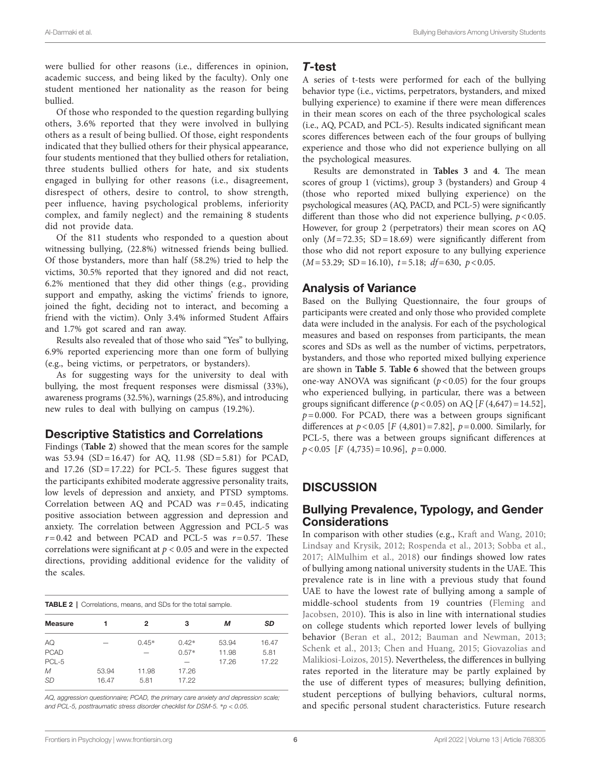were bullied for other reasons (i.e., differences in opinion, academic success, and being liked by the faculty). Only one student mentioned her nationality as the reason for being bullied.

Of those who responded to the question regarding bullying others, 3.6% reported that they were involved in bullying others as a result of being bullied. Of those, eight respondents indicated that they bullied others for their physical appearance, four students mentioned that they bullied others for retaliation, three students bullied others for hate, and six students engaged in bullying for other reasons (i.e., disagreement, disrespect of others, desire to control, to show strength, peer influence, having psychological problems, inferiority complex, and family neglect) and the remaining 8 students did not provide data.

Of the 811 students who responded to a question about witnessing bullying, (22.8%) witnessed friends being bullied. Of those bystanders, more than half (58.2%) tried to help the victims, 30.5% reported that they ignored and did not react, 6.2% mentioned that they did other things (e.g., providing support and empathy, asking the victims' friends to ignore, joined the fight, deciding not to interact, and becoming a friend with the victim). Only 3.4% informed Student Affairs and 1.7% got scared and ran away.

Results also revealed that of those who said "Yes" to bullying, 6.9% reported experiencing more than one form of bullying (e.g., being victims, or perpetrators, or bystanders).

As for suggesting ways for the university to deal with bullying, the most frequent responses were dismissal (33%), awareness programs (32.5%), warnings (25.8%), and introducing new rules to deal with bullying on campus (19.2%).

#### Descriptive Statistics and Correlations

Findings (**[Table 2](#page-6-0)**) showed that the mean scores for the sample was 53.94 (SD=16.47) for AQ, 11.98 (SD=5.81) for PCAD, and  $17.26$  (SD = 17.22) for PCL-5. These figures suggest that the participants exhibited moderate aggressive personality traits, low levels of depression and anxiety, and PTSD symptoms. Correlation between AQ and PCAD was *r*=0.45, indicating positive association between aggression and depression and anxiety. The correlation between Aggression and PCL-5 was  $r=0.42$  and between PCAD and PCL-5 was  $r=0.57$ . These correlations were significant at *p* < 0.05 and were in the expected directions, providing additional evidence for the validity of the scales.

<span id="page-6-0"></span>

| <b>TABLE 2</b>   Correlations, means, and SDs for the total sample. |       |         |         |       |       |  |
|---------------------------------------------------------------------|-------|---------|---------|-------|-------|--|
| <b>Measure</b>                                                      |       | 2       | з       | м     | SD    |  |
| AQ                                                                  |       | $0.45*$ | $0.42*$ | 53.94 | 16.47 |  |
| <b>PCAD</b>                                                         |       |         | $0.57*$ | 11.98 | 5.81  |  |
| PCL-5                                                               |       |         |         | 17.26 | 17.22 |  |
| M                                                                   | 53.94 | 11.98   | 17.26   |       |       |  |
| <b>SD</b>                                                           | 16.47 | 5.81    | 17.22   |       |       |  |

*AQ, aggression questionnaire; PCAD, the primary care anxiety and depression scale; and PCL-5, posttraumatic stress disorder checklist for DSM-5.* \**p < 0.05.*

#### *T*-test

A series of t-tests were performed for each of the bullying behavior type (i.e., victims, perpetrators, bystanders, and mixed bullying experience) to examine if there were mean differences in their mean scores on each of the three psychological scales (i.e., AQ, PCAD, and PCL-5). Results indicated significant mean scores differences between each of the four groups of bullying experience and those who did not experience bullying on all the psychological measures.

Results are demonstrated in **[Tables 3](#page-7-0)** and **[4](#page-7-1)**. The mean scores of group 1 (victims), group 3 (bystanders) and Group 4 (those who reported mixed bullying experience) on the psychological measures (AQ, PACD, and PCL-5) were significantly different than those who did not experience bullying, *p*<0.05. However, for group 2 (perpetrators) their mean scores on AQ only  $(M=72.35; SD=18.69)$  were significantly different from those who did not report exposure to any bullying experience (*M*=53.29; SD=16.10), *t*=5.18; *df*=630, *p*<0.05.

### Analysis of Variance

Based on the Bullying Questionnaire, the four groups of participants were created and only those who provided complete data were included in the analysis. For each of the psychological measures and based on responses from participants, the mean scores and SDs as well as the number of victims, perpetrators, bystanders, and those who reported mixed bullying experience are shown in **[Table 5](#page-8-0)**. **[Table 6](#page-9-0)** showed that the between groups one-way ANOVA was significant  $(p < 0.05)$  for the four groups who experienced bullying, in particular, there was a between groups significant difference  $(p < 0.05)$  on AQ  $[F(4, 647) = 14.52]$ ,  $p = 0.000$ . For PCAD, there was a between groups significant differences at  $p < 0.05$  [*F* (4,801) = 7.82],  $p = 0.000$ . Similarly, for PCL-5, there was a between groups significant differences at *p*<0.05 [*F* (4,735)=10.96], *p*=0.000.

# **DISCUSSION**

### Bullying Prevalence, Typology, and Gender **Considerations**

In comparison with other studies (e.g., [Kraft and Wang, 2010;](#page-11-25) [Lindsay and Krysik, 2012;](#page-11-26) [Rospenda et al., 2013](#page-12-20); [Sobba et al.,](#page-12-21)  [2017](#page-12-21); [AlMulhim et al., 2018\)](#page-11-7) our findings showed low rates of bullying among national university students in the UAE. This prevalence rate is in line with a previous study that found UAE to have the lowest rate of bullying among a sample of middle-school students from 19 countries [\(Fleming and](#page-11-27)  [Jacobsen, 2010](#page-11-27)). This is also in line with international studies on college students which reported lower levels of bullying behavior [\(Beran et al., 2012](#page-11-28); [Bauman and Newman, 2013;](#page-11-29) [Schenk et al., 2013](#page-12-22); [Chen and Huang, 2015;](#page-11-17) [Giovazolias and](#page-11-18)  [Malikiosi-Loizos, 2015](#page-11-18)). Nevertheless, the differences in bullying rates reported in the literature may be partly explained by the use of different types of measures; bullying definition, student perceptions of bullying behaviors, cultural norms, and specific personal student characteristics. Future research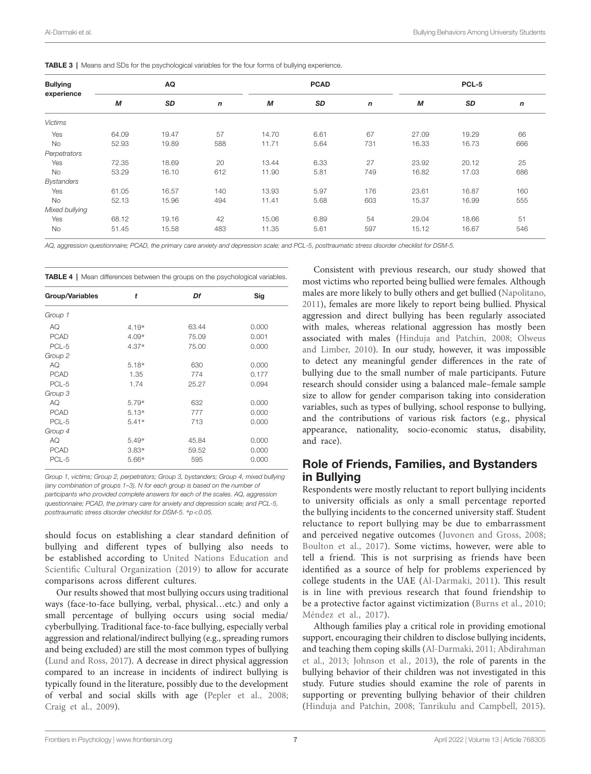<span id="page-7-0"></span>

|  |  |  |  | <b>TABLE 3</b>   Means and SDs for the psychological variables for the four forms of bullying experience. |
|--|--|--|--|-----------------------------------------------------------------------------------------------------------|
|--|--|--|--|-----------------------------------------------------------------------------------------------------------|

| <b>Bullying</b><br>experience | AQ    |       |                  | <b>PCAD</b> |      |              | PCL-5 |       |     |
|-------------------------------|-------|-------|------------------|-------------|------|--------------|-------|-------|-----|
|                               | М     | SD    | $\boldsymbol{n}$ | М           | SD   | $\mathsf{n}$ | M     | SD    | n   |
| <b>Victims</b>                |       |       |                  |             |      |              |       |       |     |
| Yes                           | 64.09 | 19.47 | 57               | 14.70       | 6.61 | 67           | 27.09 | 19.29 | 66  |
| No                            | 52.93 | 19.89 | 588              | 11.71       | 5.64 | 731          | 16.33 | 16.73 | 666 |
| Perpetrators                  |       |       |                  |             |      |              |       |       |     |
| Yes                           | 72.35 | 18.69 | 20               | 13.44       | 6.33 | 27           | 23.92 | 20.12 | 25  |
| No                            | 53.29 | 16.10 | 612              | 11.90       | 5.81 | 749          | 16.82 | 17.03 | 686 |
| <b>Bystanders</b>             |       |       |                  |             |      |              |       |       |     |
| Yes                           | 61.05 | 16.57 | 140              | 13.93       | 5.97 | 176          | 23.61 | 16.87 | 160 |
| No                            | 52.13 | 15.96 | 494              | 11.41       | 5.68 | 603          | 15.37 | 16.99 | 555 |
| Mixed bullying                |       |       |                  |             |      |              |       |       |     |
| Yes                           | 68.12 | 19.16 | 42               | 15.06       | 6.89 | 54           | 29.04 | 18.66 | 51  |
| No                            | 51.45 | 15.58 | 483              | 11.35       | 5.61 | 597          | 15.12 | 16.67 | 546 |

*AQ, aggression questionnaire; PCAD, the primary care anxiety and depression scale; and PCL-5, posttraumatic stress disorder checklist for DSM-5.*

<span id="page-7-1"></span>TABLE 4 | Mean differences between the groups on the psychological variables.

| Group/Variables | t       | Df    | Sig   |
|-----------------|---------|-------|-------|
| Group 1         |         |       |       |
| AQ              | $4.19*$ | 63.44 | 0.000 |
| <b>PCAD</b>     | 4.09*   | 75.09 | 0.001 |
| PCL-5           | $4.37*$ | 75.00 | 0.000 |
| Group 2         |         |       |       |
| AQ              | $5.18*$ | 630   | 0.000 |
| <b>PCAD</b>     | 1.35    | 774   | 0.177 |
| PCL-5           | 1.74    | 25.27 | 0.094 |
| Group 3         |         |       |       |
| AQ              | 5.79*   | 632   | 0.000 |
| <b>PCAD</b>     | $5.13*$ | 777   | 0.000 |
| PCL-5           | $5.41*$ | 713   | 0.000 |
| Group 4         |         |       |       |
| AQ              | $5.49*$ | 45.84 | 0.000 |
| <b>PCAD</b>     | $3.83*$ | 59.52 | 0.000 |
| PCL-5           | 5.66*   | 595   | 0.000 |
|                 |         |       |       |

*Group 1, victims; Group 2, perpetrators; Group 3, bystanders; Group 4, mixed bullying (any combination of groups 1–3). N for each group is based on the number of participants who provided complete answers for each of the scales. AQ, aggression questionnaire; PCAD, the primary care for anxiety and depression scale; and PCL-5, posttraumatic stress disorder checklist for DSM-5.* \**p<0.05.*

should focus on establishing a clear standard definition of bullying and different types of bullying also needs to be established according to [United Nations Education and](#page-12-10)  [Scientific Cultural Organization \(2019\)](#page-12-10) to allow for accurate comparisons across different cultures.

Our results showed that most bullying occurs using traditional ways (face-to-face bullying, verbal, physical…etc.) and only a small percentage of bullying occurs using social media/ cyberbullying. Traditional face-to-face bullying, especially verbal aggression and relational/indirect bullying (e.g., spreading rumors and being excluded) are still the most common types of bullying ([Lund and Ross, 2017](#page-11-4)). A decrease in direct physical aggression compared to an increase in incidents of indirect bullying is typically found in the literature, possibly due to the development of verbal and social skills with age [\(Pepler et al., 2008](#page-12-6); [Craig et al., 2009](#page-11-11)).

Consistent with previous research, our study showed that most victims who reported being bullied were females. Although males are more likely to bully others and get bullied ([Napolitano,](#page-12-23)  [2011\)](#page-12-23), females are more likely to report being bullied. Physical aggression and direct bullying has been regularly associated with males, whereas relational aggression has mostly been associated with males [\(Hinduja and Patchin, 2008;](#page-11-5) [Olweus](#page-12-4)  [and Limber, 2010\)](#page-12-4). In our study, however, it was impossible to detect any meaningful gender differences in the rate of bullying due to the small number of male participants. Future research should consider using a balanced male–female sample size to allow for gender comparison taking into consideration variables, such as types of bullying, school response to bullying, and the contributions of various risk factors (e.g., physical appearance, nationality, socio-economic status, disability, and race).

#### Role of Friends, Families, and Bystanders in Bullying

Respondents were mostly reluctant to report bullying incidents to university officials as only a small percentage reported the bullying incidents to the concerned university staff. Student reluctance to report bullying may be due to embarrassment and perceived negative outcomes ([Juvonen and Gross, 2008;](#page-11-30) [Boulton et al., 2017](#page-11-31)). Some victims, however, were able to tell a friend. This is not surprising as friends have been identified as a source of help for problems experienced by college students in the UAE ([Al-Darmaki, 2011](#page-10-4)). This result is in line with previous research that found friendship to be a protective factor against victimization ([Burns et al., 2010;](#page-11-32) [Méndez et al., 2017\)](#page-11-33).

Although families play a critical role in providing emotional support, encouraging their children to disclose bullying incidents, and teaching them coping skills [\(Al-Darmaki, 2011](#page-10-4); [Abdirahman](#page-10-5)  [et al., 2013](#page-10-5); [Johnson et al., 2013](#page-11-34)), the role of parents in the bullying behavior of their children was not investigated in this study. Future studies should examine the role of parents in supporting or preventing bullying behavior of their children [\(Hinduja and Patchin, 2008;](#page-11-5) [Tanrikulu and Campbell, 2015\)](#page-12-18).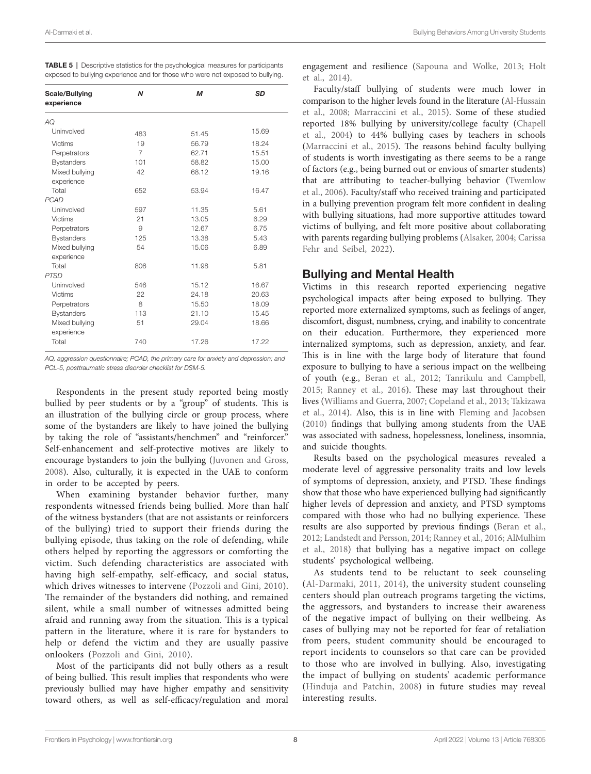<span id="page-8-0"></span>

| <b>TABLE 5</b>   Descriptive statistics for the psychological measures for participants |  |
|-----------------------------------------------------------------------------------------|--|
| exposed to bullying experience and for those who were not exposed to bullying.          |  |

| Scale/Bullying<br>experience | N              | M     | <b>SD</b> |
|------------------------------|----------------|-------|-----------|
| AQ                           |                |       |           |
| Uninvolved                   | 483            | 51.45 | 15.69     |
| <b>Victims</b>               | 19             | 56.79 | 18.24     |
| Perpetrators                 | $\overline{7}$ | 62.71 | 15.51     |
| <b>Bystanders</b>            | 101            | 58.82 | 15.00     |
| Mixed bullying               | 42             | 68.12 | 19.16     |
| experience                   |                |       |           |
| Total                        | 652            | 53.94 | 16.47     |
| <b>PCAD</b>                  |                |       |           |
| Uninvolved                   | 597            | 11.35 | 5.61      |
| Victims                      | 21             | 13.05 | 6.29      |
| Perpetrators                 | 9              | 12.67 | 6.75      |
| <b>Bystanders</b>            | 125            | 13.38 | 5.43      |
| Mixed bullying               | 54             | 15.06 | 6.89      |
| experience                   |                |       |           |
| Total                        | 806            | 11.98 | 5.81      |
| <b>PTSD</b>                  |                |       |           |
| Uninvolved                   | 546            | 15.12 | 16.67     |
| Victims                      | 22             | 24.18 | 20.63     |
| Perpetrators                 | 8              | 15.50 | 18.09     |
| <b>Bystanders</b>            | 113            | 21.10 | 15.45     |
| Mixed bullying<br>experience | 51             | 29.04 | 18.66     |
| Total                        | 740            | 17.26 | 17.22     |

*AQ, aggression questionnaire; PCAD, the primary care for anxiety and depression; and PCL-5, posttraumatic stress disorder checklist for DSM-5.*

Respondents in the present study reported being mostly bullied by peer students or by a "group" of students. This is an illustration of the bullying circle or group process, where some of the bystanders are likely to have joined the bullying by taking the role of "assistants/henchmen" and "reinforcer." Self-enhancement and self-protective motives are likely to encourage bystanders to join the bullying [\(Juvonen and Gross,](#page-11-30)  [2008\)](#page-11-30). Also, culturally, it is expected in the UAE to conform in order to be accepted by peers.

When examining bystander behavior further, many respondents witnessed friends being bullied. More than half of the witness bystanders (that are not assistants or reinforcers of the bullying) tried to support their friends during the bullying episode, thus taking on the role of defending, while others helped by reporting the aggressors or comforting the victim. Such defending characteristics are associated with having high self-empathy, self-efficacy, and social status, which drives witnesses to intervene ([Pozzoli and Gini, 2010\)](#page-12-24). The remainder of the bystanders did nothing, and remained silent, while a small number of witnesses admitted being afraid and running away from the situation. This is a typical pattern in the literature, where it is rare for bystanders to help or defend the victim and they are usually passive onlookers ([Pozzoli and Gini, 2010](#page-12-24)).

Most of the participants did not bully others as a result of being bullied. This result implies that respondents who were previously bullied may have higher empathy and sensitivity toward others, as well as self-efficacy/regulation and moral

engagement and resilience [\(Sapouna and Wolke, 2013;](#page-12-25) [Holt](#page-11-19)  [et al., 2014](#page-11-19)).

Faculty/staff bullying of students were much lower in comparison to the higher levels found in the literature [\(Al-Hussain](#page-10-0)  [et al., 2008](#page-10-0); [Marraccini et al., 2015](#page-11-35)). Some of these studied reported 18% bullying by university/college faculty ([Chapell](#page-11-10)  [et al., 2004\)](#page-11-10) to 44% bullying cases by teachers in schools [\(Marraccini et al., 2015](#page-11-35)). The reasons behind faculty bullying of students is worth investigating as there seems to be a range of factors (e.g., being burned out or envious of smarter students) that are attributing to teacher-bullying behavior ([Twemlow](#page-12-26)  [et al., 2006](#page-12-26)). Faculty/staff who received training and participated in a bullying prevention program felt more confident in dealing with bullying situations, had more supportive attitudes toward victims of bullying, and felt more positive about collaborating with parents regarding bullying problems ([Alsaker, 2004;](#page-11-36) [Carissa](#page-11-37)  [Fehr and Seibel, 2022](#page-11-37)).

# Bullying and Mental Health

Victims in this research reported experiencing negative psychological impacts after being exposed to bullying. They reported more externalized symptoms, such as feelings of anger, discomfort, disgust, numbness, crying, and inability to concentrate on their education. Furthermore, they experienced more internalized symptoms, such as depression, anxiety, and fear. This is in line with the large body of literature that found exposure to bullying to have a serious impact on the wellbeing of youth (e.g., [Beran et al., 2012;](#page-11-28) [Tanrikulu and Campbell,](#page-12-18)  [2015;](#page-12-18) [Ranney et al., 2016\)](#page-12-17). These may last throughout their lives ([Williams and Guerra, 2007;](#page-12-27) [Copeland et al., 2013;](#page-11-38) [Takizawa](#page-12-28)  [et al., 2014](#page-12-28)). Also, this is in line with [Fleming and Jacobsen](#page-11-27)  [\(2010\)](#page-11-27) findings that bullying among students from the UAE was associated with sadness, hopelessness, loneliness, insomnia, and suicide thoughts.

Results based on the psychological measures revealed a moderate level of aggressive personality traits and low levels of symptoms of depression, anxiety, and PTSD. These findings show that those who have experienced bullying had significantly higher levels of depression and anxiety, and PTSD symptoms compared with those who had no bullying experience. These results are also supported by previous findings ([Beran et al.,](#page-11-28)  [2012;](#page-11-28) [Landstedt and Persson, 2014](#page-11-39); [Ranney et al., 2016](#page-12-17); [AlMulhim](#page-11-7)  [et al., 2018\)](#page-11-7) that bullying has a negative impact on college students' psychological wellbeing.

As students tend to be reluctant to seek counseling [\(Al-Darmaki, 2011](#page-10-4), [2014\)](#page-10-3), the university student counseling centers should plan outreach programs targeting the victims, the aggressors, and bystanders to increase their awareness of the negative impact of bullying on their wellbeing. As cases of bullying may not be reported for fear of retaliation from peers, student community should be encouraged to report incidents to counselors so that care can be provided to those who are involved in bullying. Also, investigating the impact of bullying on students' academic performance [\(Hinduja and Patchin, 2008\)](#page-11-5) in future studies may reveal interesting results.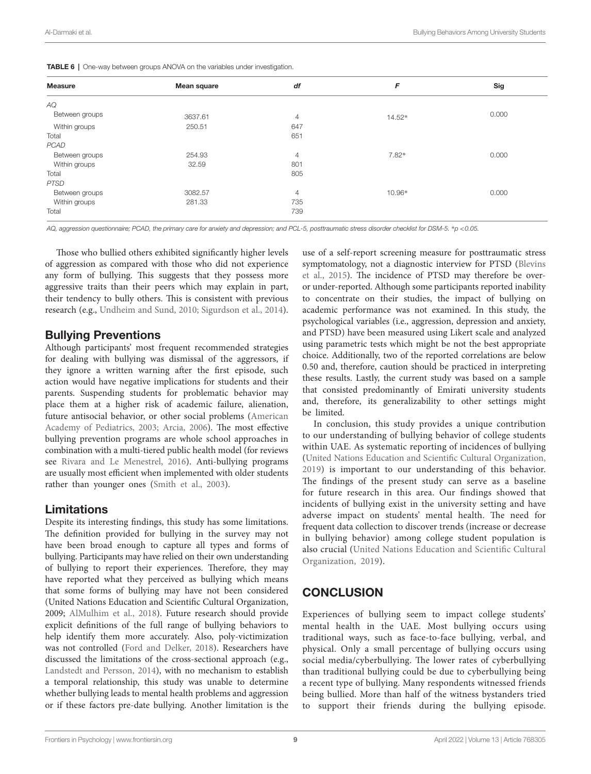<span id="page-9-0"></span>

| <b>Measure</b> | Mean square | df             | F      | Sig   |
|----------------|-------------|----------------|--------|-------|
| AQ             |             |                |        |       |
| Between groups | 3637.61     | $\overline{4}$ | 14.52* | 0.000 |
| Within groups  | 250.51      | 647            |        |       |
| Total          |             | 651            |        |       |
| <b>PCAD</b>    |             |                |        |       |
| Between groups | 254.93      | $\overline{4}$ | 7.82*  | 0.000 |
| Within groups  | 32.59       | 801            |        |       |
| Total          |             | 805            |        |       |
| <b>PTSD</b>    |             |                |        |       |
| Between groups | 3082.57     | $\overline{4}$ | 10.96* | 0.000 |
| Within groups  | 281.33      | 735            |        |       |
| Total          |             | 739            |        |       |

*AQ, aggression questionnaire; PCAD, the primary care for anxiety and depression; and PCL-5, posttraumatic stress disorder checklist for DSM-5.* \**p <0.05.*

Those who bullied others exhibited significantly higher levels of aggression as compared with those who did not experience any form of bullying. This suggests that they possess more aggressive traits than their peers which may explain in part, their tendency to bully others. This is consistent with previous research (e.g., [Undheim and Sund, 2010](#page-12-16); [Sigurdson et al., 2014](#page-12-13)).

#### Bullying Preventions

Although participants' most frequent recommended strategies for dealing with bullying was dismissal of the aggressors, if they ignore a written warning after the first episode, such action would have negative implications for students and their parents. Suspending students for problematic behavior may place them at a higher risk of academic failure, alienation, future antisocial behavior, or other social problems ([American](#page-11-40)  [Academy of Pediatrics, 2003;](#page-11-40) [Arcia, 2006\)](#page-11-41). The most effective bullying prevention programs are whole school approaches in combination with a multi-tiered public health model (for reviews see [Rivara and Le Menestrel, 2016](#page-12-29)). Anti-bullying programs are usually most efficient when implemented with older students rather than younger ones (Smith et al., 2003).

# Limitations

Despite its interesting findings, this study has some limitations. The definition provided for bullying in the survey may not have been broad enough to capture all types and forms of bullying. Participants may have relied on their own understanding of bullying to report their experiences. Therefore, they may have reported what they perceived as bullying which means that some forms of bullying may have not been considered (United Nations Education and Scientific Cultural Organization, 2009; [AlMulhim et al., 2018\)](#page-11-7). Future research should provide explicit definitions of the full range of bullying behaviors to help identify them more accurately. Also, poly-victimization was not controlled ([Ford and Delker, 2018\)](#page-11-42). Researchers have discussed the limitations of the cross-sectional approach (e.g., [Landstedt and Persson, 2014](#page-11-39)), with no mechanism to establish a temporal relationship, this study was unable to determine whether bullying leads to mental health problems and aggression or if these factors pre-date bullying. Another limitation is the

use of a self-report screening measure for posttraumatic stress symptomatology, not a diagnostic interview for PTSD [\(Blevins](#page-11-23)  [et al., 2015\)](#page-11-23). The incidence of PTSD may therefore be overor under-reported. Although some participants reported inability to concentrate on their studies, the impact of bullying on academic performance was not examined. In this study, the psychological variables (i.e., aggression, depression and anxiety, and PTSD) have been measured using Likert scale and analyzed using parametric tests which might be not the best appropriate choice. Additionally, two of the reported correlations are below 0.50 and, therefore, caution should be practiced in interpreting these results. Lastly, the current study was based on a sample that consisted predominantly of Emirati university students and, therefore, its generalizability to other settings might be limited.

In conclusion, this study provides a unique contribution to our understanding of bullying behavior of college students within UAE. As systematic reporting of incidences of bullying [\(United Nations Education and Scientific Cultural Organization,](#page-12-10)  [2019\)](#page-12-10) is important to our understanding of this behavior. The findings of the present study can serve as a baseline for future research in this area. Our findings showed that incidents of bullying exist in the university setting and have adverse impact on students' mental health. The need for frequent data collection to discover trends (increase or decrease in bullying behavior) among college student population is also crucial ([United Nations Education and Scientific Cultural](#page-12-10)  [Organization, 2019](#page-12-10)).

# **CONCLUSION**

Experiences of bullying seem to impact college students' mental health in the UAE. Most bullying occurs using traditional ways, such as face-to-face bullying, verbal, and physical. Only a small percentage of bullying occurs using social media/cyberbullying. The lower rates of cyberbullying than traditional bullying could be due to cyberbullying being a recent type of bullying. Many respondents witnessed friends being bullied. More than half of the witness bystanders tried to support their friends during the bullying episode.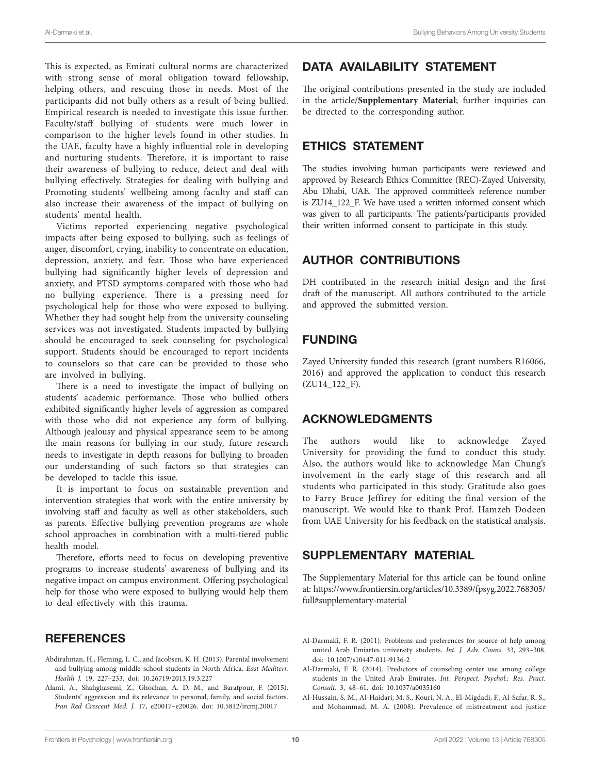This is expected, as Emirati cultural norms are characterized with strong sense of moral obligation toward fellowship, helping others, and rescuing those in needs. Most of the participants did not bully others as a result of being bullied. Empirical research is needed to investigate this issue further. Faculty/staff bullying of students were much lower in comparison to the higher levels found in other studies. In the UAE, faculty have a highly influential role in developing and nurturing students. Therefore, it is important to raise their awareness of bullying to reduce, detect and deal with bullying effectively. Strategies for dealing with bullying and Promoting students' wellbeing among faculty and staff can also increase their awareness of the impact of bullying on students' mental health.

Victims reported experiencing negative psychological impacts after being exposed to bullying, such as feelings of anger, discomfort, crying, inability to concentrate on education, depression, anxiety, and fear. Those who have experienced bullying had significantly higher levels of depression and anxiety, and PTSD symptoms compared with those who had no bullying experience. There is a pressing need for psychological help for those who were exposed to bullying. Whether they had sought help from the university counseling services was not investigated. Students impacted by bullying should be encouraged to seek counseling for psychological support. Students should be encouraged to report incidents to counselors so that care can be provided to those who are involved in bullying.

There is a need to investigate the impact of bullying on students' academic performance. Those who bullied others exhibited significantly higher levels of aggression as compared with those who did not experience any form of bullying. Although jealousy and physical appearance seem to be among the main reasons for bullying in our study, future research needs to investigate in depth reasons for bullying to broaden our understanding of such factors so that strategies can be developed to tackle this issue.

It is important to focus on sustainable prevention and intervention strategies that work with the entire university by involving staff and faculty as well as other stakeholders, such as parents. Effective bullying prevention programs are whole school approaches in combination with a multi-tiered public health model.

Therefore, efforts need to focus on developing preventive programs to increase students' awareness of bullying and its negative impact on campus environment. Offering psychological help for those who were exposed to bullying would help them to deal effectively with this trauma.

# **REFERENCES**

- <span id="page-10-5"></span>Abdirahman, H., Fleming, L. C., and Jacobsen, K. H. (2013). Parental involvement and bullying among middle school students in North Africa. *East Mediterr. Health J.* 19, 227–233. doi: [10.26719/2013.19.3.227](https://doi.org/10.26719/2013.19.3.227)
- <span id="page-10-1"></span>Alami, A., Shahghasemi, Z., Ghochan, A. D. M., and Baratpour, F. (2015). Students' aggression and its relevance to personal, family, and social factors. *Iran Red Crescent Med. J.* 17, e20017–e20026. doi: [10.5812/ircmj.20017](https://doi.org/10.5812/ircmj.20017)

# DATA AVAILABILITY STATEMENT

The original contributions presented in the study are included in the article/**[Supplementary Material](#page-10-2)**; further inquiries can be directed to the corresponding author.

### ETHICS STATEMENT

The studies involving human participants were reviewed and approved by Research Ethics Committee (REC)-Zayed University, Abu Dhabi, UAE. The approved committee's reference number is ZU14\_122\_F. We have used a written informed consent which was given to all participants. The patients/participants provided their written informed consent to participate in this study.

# AUTHOR CONTRIBUTIONS

DH contributed in the research initial design and the first draft of the manuscript. All authors contributed to the article and approved the submitted version.

# FUNDING

Zayed University funded this research (grant numbers R16066, 2016) and approved the application to conduct this research (ZU14\_122\_F).

# <span id="page-10-2"></span>ACKNOWLEDGMENTS

The authors would like to acknowledge Zayed University for providing the fund to conduct this study. Also, the authors would like to acknowledge Man Chung's involvement in the early stage of this research and all students who participated in this study. Gratitude also goes to Farry Bruce Jeffirey for editing the final version of the manuscript. We would like to thank Prof. Hamzeh Dodeen from UAE University for his feedback on the statistical analysis.

# SUPPLEMENTARY MATERIAL

The Supplementary Material for this article can be found online at: [https://www.frontiersin.org/articles/10.3389/fpsyg.2022.768305/](https://www.frontiersin.org/articles/10.3389/fpsyg.2022.768305/full#supplementary-material) [full#supplementary-material](https://www.frontiersin.org/articles/10.3389/fpsyg.2022.768305/full#supplementary-material)

- <span id="page-10-4"></span>Al-Darmaki, F. R. (2011). Problems and preferences for source of help among united Arab Emiartes university students. *Int. J. Adv. Couns.* 33, 293–308. doi: [10.1007/s10447-011-9136-2](https://doi.org/10.1007/s10447-011-9136-2)
- <span id="page-10-3"></span>Al-Darmaki, F. R. (2014). Predictors of counseling center use among college students in the United Arab Emirates. *Int. Perspect. Psychol.: Res. Pract. Consult.* 3, 48–61. doi: [10.1037/a0035160](https://doi.org/10.1037/a0035160)
- <span id="page-10-0"></span>Al-Hussain, S. M., Al-Haidari, M. S., Kouri, N. A., El-Migdadi, F., Al-Safar, R. S., and Mohammad, M. A. (2008). Prevalence of mistreatment and justice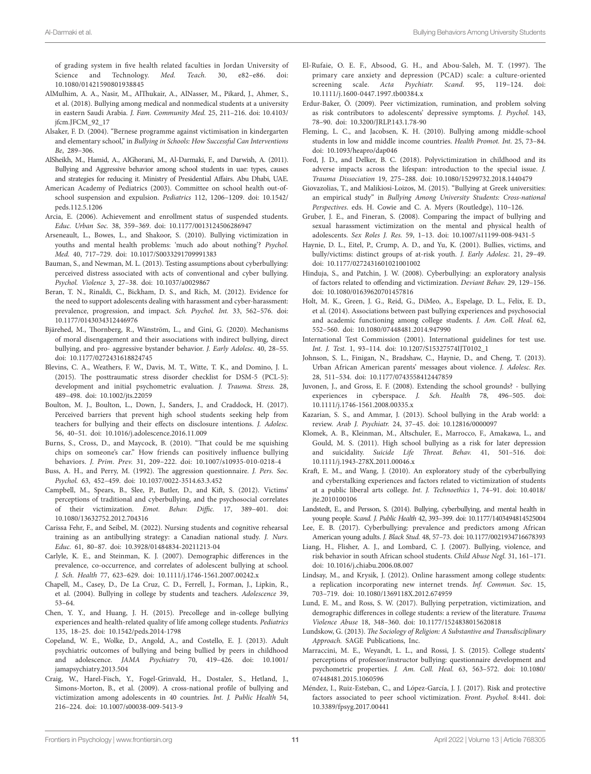of grading system in five health related faculties in Jordan University of Science and Technology. *Med. Teach.* 30, e82–e86. doi: [10.1080/01421590801938845](https://doi.org/10.1080/01421590801938845)

- <span id="page-11-7"></span>AlMulhim, A. A., Nasir, M., AlThukair, A., AlNasser, M., Pikard, J., Ahmer, S., et al. (2018). Bullying among medical and nonmedical students at a university in eastern Saudi Arabia. *J. Fam. Community Med.* 25, 211–216. doi: [10.4103/](https://doi.org/10.4103/jfcm.JFCM_92_17) [jfcm.JFCM\\_92\\_17](https://doi.org/10.4103/jfcm.JFCM_92_17)
- <span id="page-11-36"></span>Alsaker, F. D. (2004). "Bernese programme against victimisation in kindergarten and elementary school," in *Bullying in Schools: How Successful Can Interventions Be*, 289–306.
- <span id="page-11-22"></span>AlSheikh, M., Hamid, A., AlGhorani, M., Al-Darmaki, F., and Darwish, A. (2011). Bullying and Aggressive behavior among school students in uae: types, causes and strategies for reducing it. Ministry of Presidential Affairs. Abu Dhabi, UAE.
- <span id="page-11-40"></span>American Academy of Pediatrics (2003). Committee on school health out-ofschool suspension and expulsion. *Pediatrics* 112, 1206–1209. doi: [10.1542/](https://doi.org/10.1542/peds.112.5.1206) [peds.112.5.1206](https://doi.org/10.1542/peds.112.5.1206)
- <span id="page-11-41"></span>Arcia, E. (2006). Achievement and enrollment status of suspended students. *Educ. Urban Soc.* 38, 359–369. doi: [10.1177/0013124506286947](https://doi.org/10.1177/0013124506286947)
- <span id="page-11-14"></span>Arseneault, L., Bowes, L., and Shakoor, S. (2010). Bullying victimization in youths and mental health problems: 'much ado about nothing'? *Psychol. Med.* 40, 717–729. doi: [10.1017/S0033291709991383](https://doi.org/10.1017/S0033291709991383)
- <span id="page-11-29"></span>Bauman, S., and Newman, M. L. (2013). Testing assumptions about cyberbullying: perceived distress associated with acts of conventional and cyber bullying. *Psychol. Violence* 3, 27–38. doi: [10.1037/a0029867](https://doi.org/10.1037/a0029867)
- <span id="page-11-28"></span>Beran, T. N., Rinaldi, C., Bickham, D. S., and Rich, M. (2012). Evidence for the need to support adolescents dealing with harassment and cyber-harassment: prevalence, progression, and impact. *Sch. Psychol. Int.* 33, 562–576. doi: [10.1177/0143034312446976](https://doi.org/10.1177/0143034312446976)
- <span id="page-11-8"></span>Bjärehed, M., Thornberg, R., Wänström, L., and Gini, G. (2020). Mechanisms of moral disengagement and their associations with indirect bullying, direct bullying, and pro- aggressive bystander behavior. *J. Early Adolesc.* 40, 28–55. doi: [10.1177/0272431618824745](https://doi.org/10.1177/0272431618824745)
- <span id="page-11-23"></span>Blevins, C. A., Weathers, F. W., Davis, M. T., Witte, T. K., and Domino, J. L. (2015). The posttraumatic stress disorder checklist for DSM-5 (PCL-5): development and initial psychometric evaluation. *J. Trauma. Stress.* 28, 489–498. doi: [10.1002/jts.22059](https://doi.org/10.1002/jts.22059)
- <span id="page-11-31"></span>Boulton, M. J., Boulton, L., Down, J., Sanders, J., and Craddock, H. (2017). Perceived barriers that prevent high school students seeking help from teachers for bullying and their effects on disclosure intentions. *J. Adolesc.* 56, 40–51. doi: [10.1016/j.adolescence.2016.11.009](https://doi.org/10.1016/j.adolescence.2016.11.009)
- <span id="page-11-32"></span>Burns, S., Cross, D., and Maycock, B. (2010). "That could be me squishing chips on someone's car." How friends can positively influence bullying behaviors. *J. Prim. Prev.* 31, 209–222. doi: [10.1007/s10935-010-0218-4](https://doi.org/10.1007/s10935-010-0218-4)
- <span id="page-11-0"></span>Buss, A. H., and Perry, M. (1992). The aggression questionnaire. *J. Pers. Soc. Psychol.* 63, 452–459. doi: [10.1037/0022-3514.63.3.452](https://doi.org/10.1037/0022-3514.63.3.452)
- <span id="page-11-21"></span>Campbell, M., Spears, B., Slee, P., Butler, D., and Kift, S. (2012). Victims' perceptions of traditional and cyberbullying, and the psychosocial correlates of their victimization. *Emot. Behav. Diffic.* 17, 389–401. doi: [10.1080/13632752.2012.704316](https://doi.org/10.1080/13632752.2012.704316)
- <span id="page-11-37"></span>Carissa Fehr, F., and Seibel, M. (2022). Nursing students and cognitive rehearsal training as an antibullying strategy: a Canadian national study. *J. Nurs. Educ.* 61, 80–87. doi: [10.3928/01484834-20211213-04](https://doi.org/10.3928/01484834-20211213-04)
- <span id="page-11-2"></span>Carlyle, K. E., and Steinman, K. J. (2007). Demographic differences in the prevalence, co-occurrence, and correlates of adolescent bullying at school. *J. Sch. Health* 77, 623–629. doi: [10.1111/j.1746-1561.2007.00242.x](https://doi.org/10.1111/j.1746-1561.2007.00242.x)
- <span id="page-11-10"></span>Chapell, M., Casey, D., De La Cruz, C. D., Ferrell, J., Forman, J., Lipkin, R., et al. (2004). Bullying in college by students and teachers. *Adolescence* 39, 53–64.
- <span id="page-11-17"></span>Chen, Y. Y., and Huang, J. H. (2015). Precollege and in-college bullying experiences and health-related quality of life among college students. *Pediatrics* 135, 18–25. doi: [10.1542/peds.2014-1798](https://doi.org/10.1542/peds.2014-1798)
- <span id="page-11-38"></span>Copeland, W. E., Wolke, D., Angold, A., and Costello, E. J. (2013). Adult psychiatric outcomes of bullying and being bullied by peers in childhood and adolescence. *JAMA Psychiatry* 70, 419–426. doi: [10.1001/](https://doi.org/10.1001/jamapsychiatry.2013.504) [jamapsychiatry.2013.504](https://doi.org/10.1001/jamapsychiatry.2013.504)
- <span id="page-11-11"></span>Craig, W., Harel-Fisch, Y., Fogel-Grinvald, H., Dostaler, S., Hetland, J., Simons-Morton, B., et al. (2009). A cross-national profile of bullying and victimization among adolescents in 40 countries. *Int. J. Public Health* 54, 216–224. doi: [10.1007/s00038-009-5413-9](https://doi.org/10.1007/s00038-009-5413-9)
- <span id="page-11-1"></span>El-Rufaie, O. E. F., Absood, G. H., and Abou-Saleh, M. T. (1997). The primary care anxiety and depression (PCAD) scale: a culture-oriented screening scale. *Acta Psychiatr. Scand.* 95, 119–124. doi: [10.1111/j.1600-0447.1997.tb00384.x](https://doi.org/10.1111/j.1600-0447.1997.tb00384.x)
- <span id="page-11-15"></span>Erdur-Baker, Ö. (2009). Peer victimization, rumination, and problem solving as risk contributors to adolescents' depressive symptoms. *J. Psychol.* 143, 78–90. doi: [10.3200/JRLP.143.1.78-90](https://doi.org/10.3200/JRLP.143.1.78-90)
- <span id="page-11-27"></span>Fleming, L. C., and Jacobsen, K. H. (2010). Bullying among middle-school students in low and middle income countries. *Health Promot. Int.* 25, 73–84. doi: [10.1093/heapro/dap046](https://doi.org/10.1093/heapro/dap046)
- <span id="page-11-42"></span>Ford, J. D., and Delker, B. C. (2018). Polyvictimization in childhood and its adverse impacts across the lifespan: introduction to the special issue. *J. Trauma Dissociation* 19, 275–288. doi: [10.1080/15299732.2018.1440479](https://doi.org/10.1080/15299732.2018.1440479)
- <span id="page-11-18"></span>Giovazolias, T., and Malikiosi-Loizos, M. (2015). "Bullying at Greek universities: an empirical study" in *Bullying Among University Students: Cross-national Perspectives*. eds. H. Cowie and C. A. Myers (Routledge), 110–126.
- <span id="page-11-6"></span>Gruber, J. E., and Fineran, S. (2008). Comparing the impact of bullying and sexual harassment victimization on the mental and physical health of adolescents. *Sex Roles J. Res.* 59, 1–13. doi: [10.1007/s11199-008-9431-5](https://doi.org/10.1007/s11199-008-9431-5)
- <span id="page-11-13"></span>Haynie, D. L., Eitel, P., Crump, A. D., and Yu, K. (2001). Bullies, victims, and bully/victims: distinct groups of at-risk youth. *J. Early Adolesc.* 21, 29–49. doi: [10.1177/0272431601021001002](https://doi.org/10.1177/0272431601021001002)
- <span id="page-11-5"></span>Hinduja, S., and Patchin, J. W. (2008). Cyberbullying: an exploratory analysis of factors related to offending and victimization. *Deviant Behav.* 29, 129–156. doi: [10.1080/01639620701457816](https://doi.org/10.1080/01639620701457816)
- <span id="page-11-19"></span>Holt, M. K., Green, J. G., Reid, G., DiMeo, A., Espelage, D. L., Felix, E. D., et al. (2014). Associations between past bullying experiences and psychosocial and academic functioning among college students. *J. Am. Coll. Heal.* 62, 552–560. doi: [10.1080/07448481.2014.947990](https://doi.org/10.1080/07448481.2014.947990)
- <span id="page-11-24"></span>International Test Commission (2001). International guidelines for test use. *Int. J. Test.* 1, 93–114. doi: [10.1207/S15327574IJT0102\\_1](https://doi.org/10.1207/S15327574IJT0102_1)
- <span id="page-11-34"></span>Johnson, S. L., Finigan, N., Bradshaw, C., Haynie, D., and Cheng, T. (2013). Urban African American parents' messages about violence. *J. Adolesc. Res.* 28, 511–534. doi: [10.1177/0743558412447859](https://doi.org/10.1177/0743558412447859)
- <span id="page-11-30"></span>Juvonen, J., and Gross, E. F. (2008). Extending the school grounds? - bullying experiences in cyberspace. *J. Sch. Health* 78, 496–505. doi: [10.1111/j.1746-1561.2008.00335.x](https://doi.org/10.1111/j.1746-1561.2008.00335.x)
- <span id="page-11-20"></span>Kazarian, S. S., and Ammar, J. (2013). School bullying in the Arab world: a review. *Arab J. Psychiatr.* 24, 37–45. doi: [10.12816/0000097](https://doi.org/10.12816/0000097)
- <span id="page-11-16"></span>Klomek, A. B., Kleinman, M., Altschuler, E., Marrocco, F., Amakawa, L., and Gould, M. S. (2011). High school bullying as a risk for later depression and suicidality. *Suicide Life Threat. Behav.* 41, 501–516. doi: [10.1111/j.1943-278X.2011.00046.x](https://doi.org/10.1111/j.1943-278X.2011.00046.x)
- <span id="page-11-25"></span>Kraft, E. M., and Wang, J. (2010). An exploratory study of the cyberbullying and cyberstalking experiences and factors related to victimization of students at a public liberal arts college. *Int. J. Technoethics* 1, 74–91. doi: [10.4018/](https://doi.org/10.4018/jte.2010100106) [jte.2010100106](https://doi.org/10.4018/jte.2010100106)
- <span id="page-11-39"></span>Landstedt, E., and Persson, S. (2014). Bullying, cyberbullying, and mental health in young people. *Scand. J. Public Health* 42, 393–399. doi: [10.1177/1403494814525004](https://doi.org/10.1177/1403494814525004)
- <span id="page-11-9"></span>Lee, E. B. (2017). Cyberbullying: prevalence and predictors among African American young adults. *J. Black Stud.* 48, 57–73. doi: [10.1177/0021934716678393](https://doi.org/10.1177/0021934716678393)
- <span id="page-11-3"></span>Liang, H., Flisher, A. J., and Lombard, C. J. (2007). Bullying, violence, and risk behavior in south African school students. *Child Abuse Negl.* 31, 161–171. doi: [10.1016/j.chiabu.2006.08.007](https://doi.org/10.1016/j.chiabu.2006.08.007)
- <span id="page-11-26"></span>Lindsay, M., and Krysik, J. (2012). Online harassment among college students: a replication incorporating new internet trends. *Inf. Commun. Soc.* 15, 703–719. doi: [10.1080/1369118X.2012.674959](https://doi.org/10.1080/1369118X.2012.674959)
- <span id="page-11-4"></span>Lund, E. M., and Ross, S. W. (2017). Bullying perpetration, victimization, and demographic differences in college students: a review of the literature. *Trauma Violence Abuse* 18, 348–360. doi: [10.1177/1524838015620818](https://doi.org/10.1177/1524838015620818)
- <span id="page-11-12"></span>Lundskow, G. (2013). *The Sociology of Religion: A Substantive and Transdisciplinary Approach.* SAGE Publications, Inc.
- <span id="page-11-35"></span>Marraccini, M. E., Weyandt, L. L., and Rossi, J. S. (2015). College students' perceptions of professor/instructor bullying: questionnaire development and psychometric properties. *J. Am. Coll. Heal.* 63, 563–572. doi: [10.1080/](https://doi.org/10.1080/07448481.2015.1060596) [07448481.2015.1060596](https://doi.org/10.1080/07448481.2015.1060596)
- <span id="page-11-33"></span>Méndez, I., Ruiz-Esteban, C., and López-García, J. J. (2017). Risk and protective factors associated to peer school victimization. *Front. Psychol.* 8:441. doi: [10.3389/fpsyg.2017.00441](https://doi.org/10.3389/fpsyg.2017.00441)